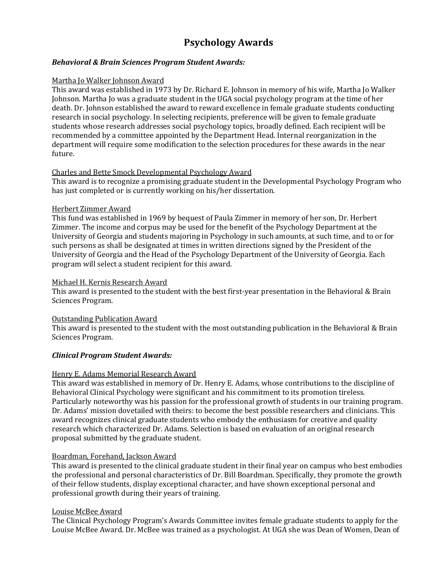# **Psychology Awards**

# *Behavioral & Brain Sciences Program Student Awards:*

### Martha Jo Walker Johnson Award

This award was established in 1973 by Dr. Richard E. Johnson in memory of his wife, Martha Jo Walker Johnson. Martha Jo was a graduate student in the UGA social psychology program at the time of her death. Dr. Johnson established the award to reward excellence in female graduate students conducting research in social psychology. In selecting recipients, preference will be given to female graduate students whose research addresses social psychology topics, broadly defined. Each recipient will be recommended by a committee appointed by the Department Head. Internal reorganization in the department will require some modification to the selection procedures for these awards in the near future.

# Charles and Bette Smock Developmental Psychology Award

This award is to recognize a promising graduate student in the Developmental Psychology Program who has just completed or is currently working on his/her dissertation.

### Herbert Zimmer Award

This fund was established in 1969 by bequest of Paula Zimmer in memory of her son, Dr. Herbert Zimmer. The income and corpus may be used for the benefit of the Psychology Department at the University of Georgia and students majoring in Psychology in such amounts, at such time, and to or for such persons as shall be designated at times in written directions signed by the President of the University of Georgia and the Head of the Psychology Department of the University of Georgia. Each program will select a student recipient for this award.

### Michael H. Kernis Research Award

This award is presented to the student with the best first-year presentation in the Behavioral & Brain Sciences Program.

# Outstanding Publication Award

This award is presented to the student with the most outstanding publication in the Behavioral & Brain Sciences Program.

# *Clinical Program Student Awards:*

# Henry E. Adams Memorial Research Award

This award was established in memory of Dr. Henry E. Adams, whose contributions to the discipline of Behavioral Clinical Psychology were significant and his commitment to its promotion tireless. Particularly noteworthy was his passion for the professional growth of students in our training program. Dr. Adams' mission dovetailed with theirs: to become the best possible researchers and clinicians. This award recognizes clinical graduate students who embody the enthusiasm for creative and quality research which characterized Dr. Adams. Selection is based on evaluation of an original research proposal submitted by the graduate student.

# Boardman, Forehand, Jackson Award

This award is presented to the clinical graduate student in their final year on campus who best embodies the professional and personal characteristics of Dr. Bill Boardman. Specifically, they promote the growth of their fellow students, display exceptional character, and have shown exceptional personal and professional growth during their years of training.

# Louise McBee Award

The Clinical Psychology Program's Awards Committee invites female graduate students to apply for the Louise McBee Award. Dr. McBee was trained as a psychologist. At UGA she was Dean of Women, Dean of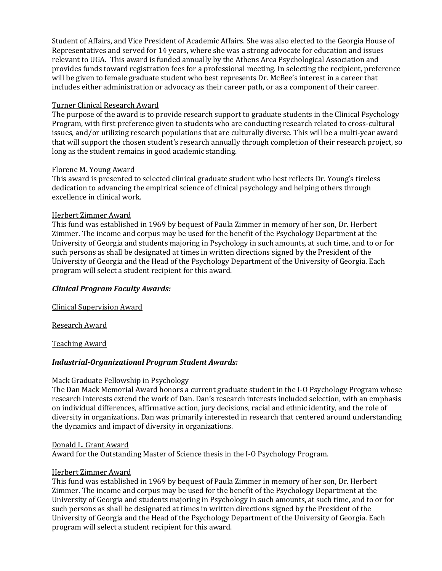Student of Affairs, and Vice President of Academic Affairs. She was also elected to the Georgia House of Representatives and served for 14 years, where she was a strong advocate for education and issues relevant to UGA. This award is funded annually by the Athens Area Psychological Association and provides funds toward registration fees for a professional meeting. In selecting the recipient, preference will be given to female graduate student who best represents Dr. McBee's interest in a career that includes either administration or advocacy as their career path, or as a component of their career.

# Turner Clinical Research Award

The purpose of the award is to provide research support to graduate students in the Clinical Psychology Program, with first preference given to students who are conducting research related to cross-cultural issues, and/or utilizing research populations that are culturally diverse. This will be a multi-year award that will support the chosen student's research annually through completion of their research project, so long as the student remains in good academic standing.

# Florene M. Young Award

This award is presented to selected clinical graduate student who best reflects Dr. Young's tireless dedication to advancing the empirical science of clinical psychology and helping others through excellence in clinical work.

# Herbert Zimmer Award

This fund was established in 1969 by bequest of Paula Zimmer in memory of her son, Dr. Herbert Zimmer. The income and corpus may be used for the benefit of the Psychology Department at the University of Georgia and students majoring in Psychology in such amounts, at such time, and to or for such persons as shall be designated at times in written directions signed by the President of the University of Georgia and the Head of the Psychology Department of the University of Georgia. Each program will select a student recipient for this award.

# *Clinical Program Faculty Awards:*

Clinical Supervision Award

Research Award

Teaching Award

# *Industrial-Organizational Program Student Awards:*

# Mack Graduate Fellowship in Psychology

The Dan Mack Memorial Award honors a current graduate student in the I-O Psychology Program whose research interests extend the work of Dan. Dan's research interests included selection, with an emphasis on individual differences, affirmative action, jury decisions, racial and ethnic identity, and the role of diversity in organizations. Dan was primarily interested in research that centered around understanding the dynamics and impact of diversity in organizations.

# Donald L. Grant Award

Award for the Outstanding Master of Science thesis in the I-O Psychology Program.

# Herbert Zimmer Award

This fund was established in 1969 by bequest of Paula Zimmer in memory of her son, Dr. Herbert Zimmer. The income and corpus may be used for the benefit of the Psychology Department at the University of Georgia and students majoring in Psychology in such amounts, at such time, and to or for such persons as shall be designated at times in written directions signed by the President of the University of Georgia and the Head of the Psychology Department of the University of Georgia. Each program will select a student recipient for this award.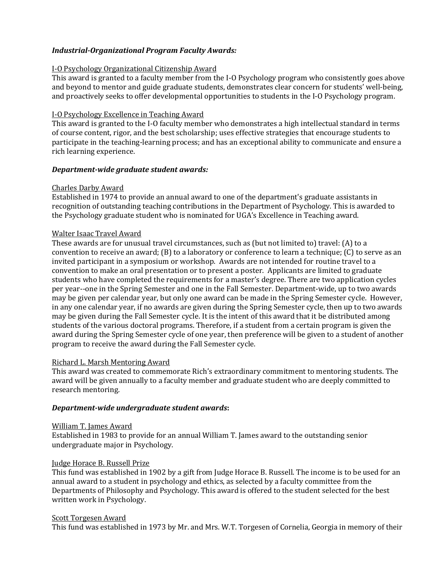# *Industrial-Organizational Program Faculty Awards:*

### I-O Psychology Organizational Citizenship Award

This award is granted to a faculty member from the I-O Psychology program who consistently goes above and beyond to mentor and guide graduate students, demonstrates clear concern for students' well-being, and proactively seeks to offer developmental opportunities to students in the I-O Psychology program.

### I-O Psychology Excellence in Teaching Award

This award is granted to the I-O faculty member who demonstrates a high intellectual standard in terms of course content, rigor, and the best scholarship; uses effective strategies that encourage students to participate in the teaching-learning process; and has an exceptional ability to communicate and ensure a rich learning experience.

### *Department-wide graduate student awards:*

### Charles Darby Award

Established in 1974 to provide an annual award to one of the department's graduate assistants in recognition of outstanding teaching contributions in the Department of Psychology. This is awarded to the Psychology graduate student who is nominated for UGA's Excellence in Teaching award.

# Walter Isaac Travel Award

These awards are for unusual travel circumstances, such as (but not limited to) travel: (A) to a convention to receive an award; (B) to a laboratory or conference to learn a technique; (C) to serve as an invited participant in a symposium or workshop. Awards are not intended for routine travel to a convention to make an oral presentation or to present a poster. Applicants are limited to graduate students who have completed the requirements for a master's degree. There are two application cycles per year--one in the Spring Semester and one in the Fall Semester. Department-wide, up to two awards may be given per calendar year, but only one award can be made in the Spring Semester cycle. However, in any one calendar year, if no awards are given during the Spring Semester cycle, then up to two awards may be given during the Fall Semester cycle. It is the intent of this award that it be distributed among students of the various doctoral programs. Therefore, if a student from a certain program is given the award during the Spring Semester cycle of one year, then preference will be given to a student of another program to receive the award during the Fall Semester cycle.

#### Richard L. Marsh Mentoring Award

This award was created to commemorate Rich's extraordinary commitment to mentoring students. The award will be given annually to a faculty member and graduate student who are deeply committed to research mentoring.

# *Department-wide undergraduate student awards***:**

#### William T. James Award

Established in 1983 to provide for an annual William T. James award to the outstanding senior undergraduate major in Psychology.

# Judge Horace B. Russell Prize

This fund was established in 1902 by a gift from Judge Horace B. Russell. The income is to be used for an annual award to a student in psychology and ethics, as selected by a faculty committee from the Departments of Philosophy and Psychology. This award is offered to the student selected for the best written work in Psychology.

#### Scott Torgesen Award

This fund was established in 1973 by Mr. and Mrs. W.T. Torgesen of Cornelia, Georgia in memory of their